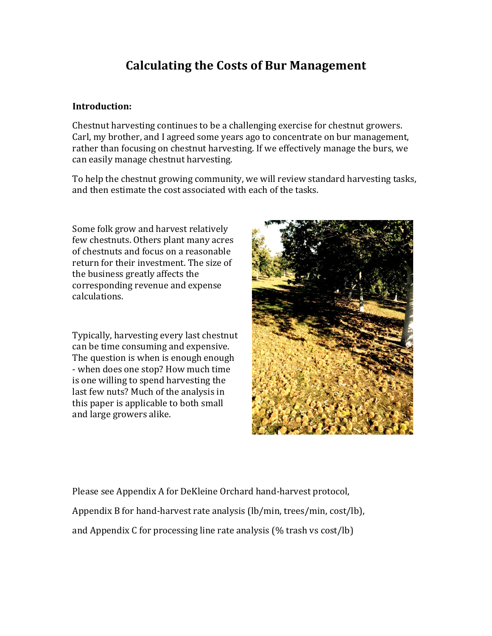# **Calculating the Costs of Bur Management**

#### **Introduction:**

Chestnut harvesting continues to be a challenging exercise for chestnut growers. Carl, my brother, and I agreed some years ago to concentrate on bur management, rather than focusing on chestnut harvesting. If we effectively manage the burs, we can easily manage chestnut harvesting.

To help the chestnut growing community, we will review standard harvesting tasks, and then estimate the cost associated with each of the tasks.

Some folk grow and harvest relatively few chestnuts. Others plant many acres of chestnuts and focus on a reasonable return for their investment. The size of the business greatly affects the corresponding revenue and expense calculations.

Typically, harvesting every last chestnut can be time consuming and expensive. The question is when is enough enough - when does one stop? How much time is one willing to spend harvesting the last few nuts? Much of the analysis in this paper is applicable to both small and large growers alike.



Please see Appendix A for DeKleine Orchard hand-harvest protocol, Appendix B for hand-harvest rate analysis  $(lb/min, trees/min, cost/lb)$ , and Appendix C for processing line rate analysis  $(\%$  trash vs cost/lb)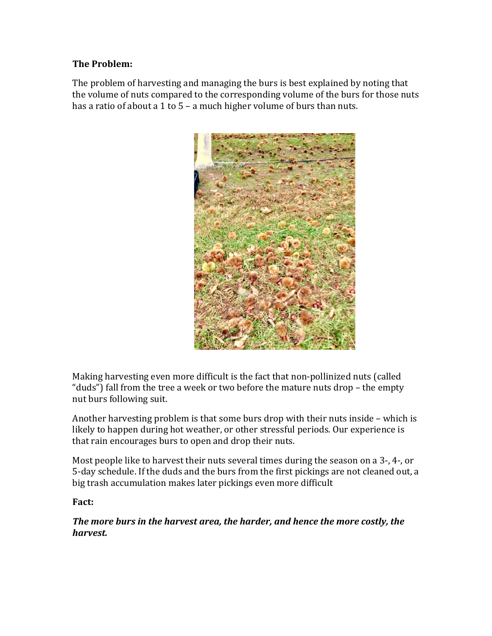### **The Problem:**

The problem of harvesting and managing the burs is best explained by noting that the volume of nuts compared to the corresponding volume of the burs for those nuts has a ratio of about a 1 to  $5 - a$  much higher volume of burs than nuts.



Making harvesting even more difficult is the fact that non-pollinized nuts (called "duds") fall from the tree a week or two before the mature nuts drop – the empty nut burs following suit.

Another harvesting problem is that some burs drop with their nuts inside – which is likely to happen during hot weather, or other stressful periods. Our experience is that rain encourages burs to open and drop their nuts.

Most people like to harvest their nuts several times during the season on a 3-, 4-, or 5-day schedule. If the duds and the burs from the first pickings are not cleaned out, a big trash accumulation makes later pickings even more difficult

### **Fact:**

*The more burs in the harvest area, the harder, and hence the more costly, the harvest.*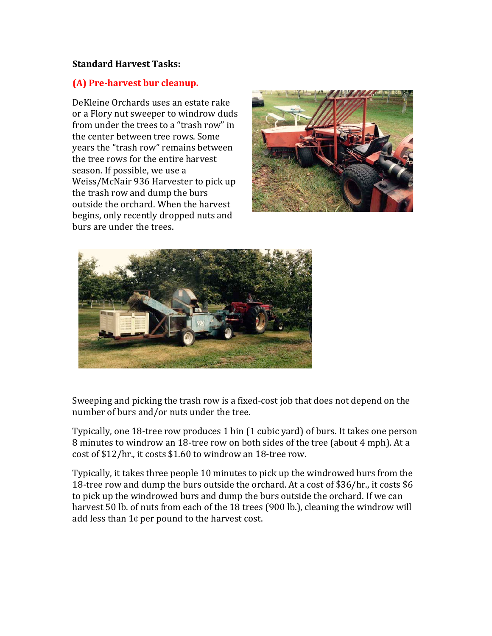#### **Standard Harvest Tasks:**

#### **(A) Pre-harvest bur cleanup.**

DeKleine Orchards uses an estate rake or a Flory nut sweeper to windrow duds from under the trees to a "trash row" in the center between tree rows. Some years the "trash row" remains between the tree rows for the entire harvest season. If possible, we use a Weiss/McNair 936 Harvester to pick up the trash row and dump the burs outside the orchard. When the harvest begins, only recently dropped nuts and burs are under the trees.





Sweeping and picking the trash row is a fixed-cost job that does not depend on the number of burs and/or nuts under the tree.

Typically, one 18-tree row produces 1 bin (1 cubic yard) of burs. It takes one person 8 minutes to windrow an 18-tree row on both sides of the tree (about 4 mph). At a cost of \$12/hr., it costs \$1.60 to windrow an 18-tree row.

Typically, it takes three people 10 minutes to pick up the windrowed burs from the 18-tree row and dump the burs outside the orchard. At a cost of \$36/hr., it costs \$6 to pick up the windrowed burs and dump the burs outside the orchard. If we can harvest 50 lb. of nuts from each of the 18 trees (900 lb.), cleaning the windrow will add less than  $1¢$  per pound to the harvest cost.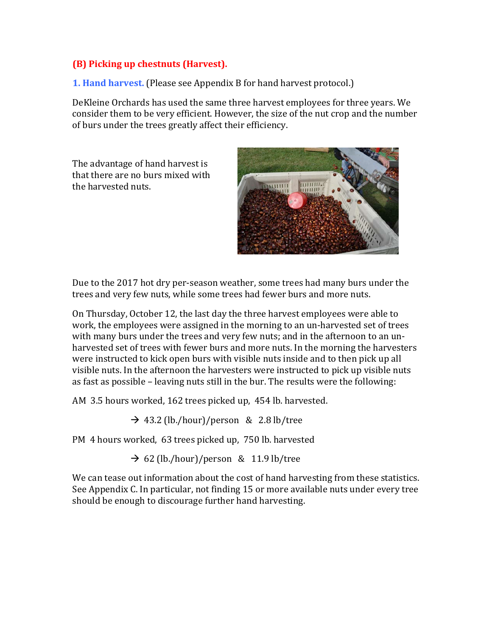### **(B)** Picking up chestnuts (Harvest).

**1. Hand harvest.** (Please see Appendix B for hand harvest protocol.)

DeKleine Orchards has used the same three harvest employees for three years. We consider them to be very efficient. However, the size of the nut crop and the number of burs under the trees greatly affect their efficiency.

The advantage of hand harvest is that there are no burs mixed with the harvested nuts.



Due to the 2017 hot dry per-season weather, some trees had many burs under the trees and very few nuts, while some trees had fewer burs and more nuts.

On Thursday, October 12, the last day the three harvest employees were able to work, the employees were assigned in the morning to an un-harvested set of trees with many burs under the trees and very few nuts; and in the afternoon to an unharvested set of trees with fewer burs and more nuts. In the morning the harvesters were instructed to kick open burs with visible nuts inside and to then pick up all visible nuts. In the afternoon the harvesters were instructed to pick up visible nuts as fast as possible - leaving nuts still in the bur. The results were the following:

AM 3.5 hours worked, 162 trees picked up, 454 lb. harvested.

 $\rightarrow$  43.2 (lb./hour)/person & 2.8 lb/tree

PM 4 hours worked, 63 trees picked up, 750 lb. harvested

 $\rightarrow$  62 (lb./hour)/person & 11.9 lb/tree

We can tease out information about the cost of hand harvesting from these statistics. See Appendix C. In particular, not finding 15 or more available nuts under every tree should be enough to discourage further hand harvesting.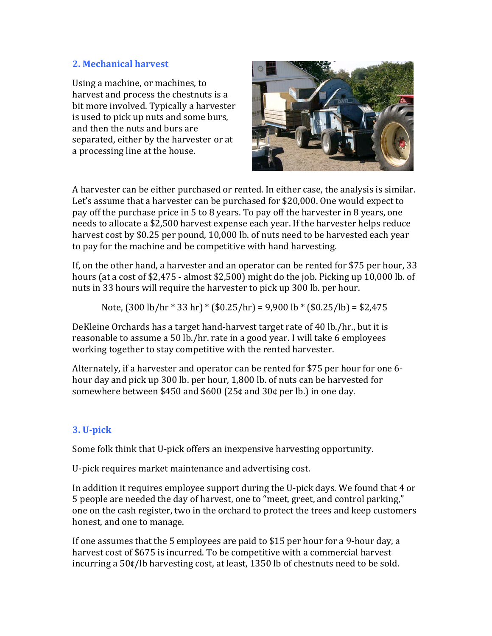### **2. Mechanical harvest**

Using a machine, or machines, to harvest and process the chestnuts is a bit more involved. Typically a harvester is used to pick up nuts and some burs, and then the nuts and burs are separated, either by the harvester or at a processing line at the house.



A harvester can be either purchased or rented. In either case, the analysis is similar. Let's assume that a harvester can be purchased for \$20,000. One would expect to pay off the purchase price in 5 to 8 years. To pay off the harvester in 8 years, one needs to allocate a \$2,500 harvest expense each year. If the harvester helps reduce harvest cost by \$0.25 per pound, 10,000 lb. of nuts need to be harvested each year to pay for the machine and be competitive with hand harvesting.

If, on the other hand, a harvester and an operator can be rented for \$75 per hour, 33 hours (at a cost of  $$2,475$  - almost  $$2,500$ ) might do the job. Picking up 10,000 lb. of nuts in 33 hours will require the harvester to pick up 300 lb. per hour.

Note,  $(300 \text{ lb/hr} * 33 \text{ hr}) * (\$0.25/\text{hr}) = 9,900 \text{ lb} * ($0.25/\text{lb}) = \$2,475$ 

DeKleine Orchards has a target hand-harvest target rate of 40 lb./hr., but it is reasonable to assume a 50 lb./hr. rate in a good year. I will take 6 employees working together to stay competitive with the rented harvester.

Alternately, if a harvester and operator can be rented for \$75 per hour for one 6hour day and pick up 300 lb. per hour, 1,800 lb. of nuts can be harvested for somewhere between \$450 and \$600 (25¢ and  $30¢$  per lb.) in one day.

# **3. U-pick**

Some folk think that U-pick offers an inexpensive harvesting opportunity.

U-pick requires market maintenance and advertising cost.

In addition it requires employee support during the U-pick days. We found that 4 or 5 people are needed the day of harvest, one to "meet, greet, and control parking," one on the cash register, two in the orchard to protect the trees and keep customers honest, and one to manage.

If one assumes that the 5 employees are paid to \$15 per hour for a 9-hour day, a harvest cost of \$675 is incurred. To be competitive with a commercial harvest incurring a  $50¢/lb$  harvesting cost, at least, 1350 lb of chestnuts need to be sold.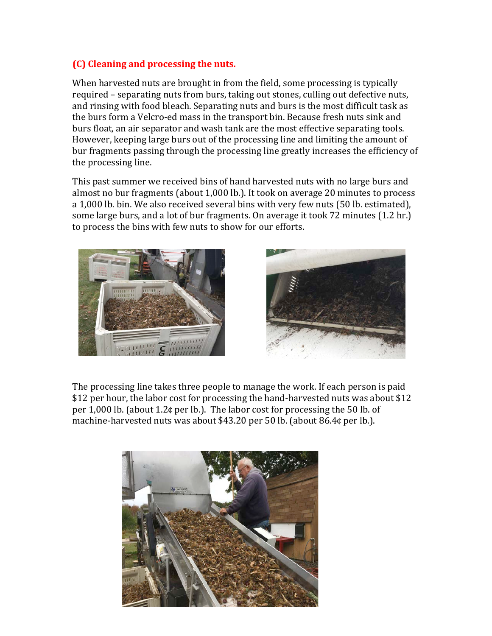### **(C) Cleaning and processing the nuts.**

When harvested nuts are brought in from the field, some processing is typically required – separating nuts from burs, taking out stones, culling out defective nuts, and rinsing with food bleach. Separating nuts and burs is the most difficult task as the burs form a Velcro-ed mass in the transport bin. Because fresh nuts sink and burs float, an air separator and wash tank are the most effective separating tools. However, keeping large burs out of the processing line and limiting the amount of bur fragments passing through the processing line greatly increases the efficiency of the processing line.

This past summer we received bins of hand harvested nuts with no large burs and almost no bur fragments (about 1,000 lb.). It took on average 20 minutes to process a 1,000 lb. bin. We also received several bins with very few nuts (50 lb. estimated), some large burs, and a lot of bur fragments. On average it took 72 minutes  $(1.2 \text{ hr.})$ to process the bins with few nuts to show for our efforts.





The processing line takes three people to manage the work. If each person is paid \$12 per hour, the labor cost for processing the hand-harvested nuts was about \$12 per  $1,000$  lb. (about  $1.2$ ¢ per lb.). The labor cost for processing the 50 lb. of machine-harvested nuts was about \$43.20 per 50 lb. (about  $86.4¢$  per lb.).

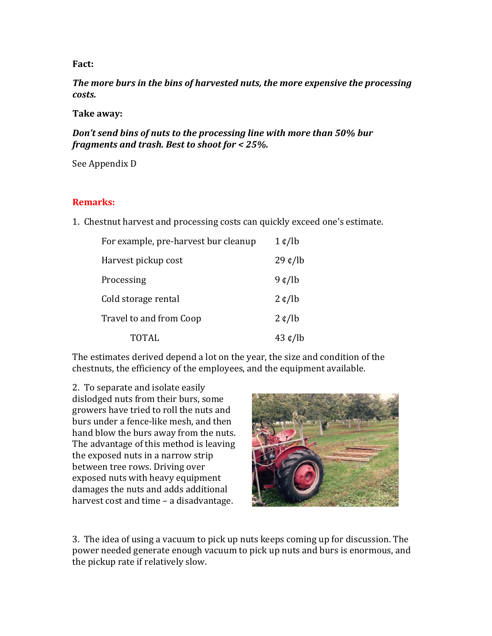#### **Fact:**

The more burs in the bins of harvested nuts, the more expensive the processing *costs.*

#### **Take away:**

Don't send bins of nuts to the processing line with more than 50% bur *fragments and trash. Best to shoot for < 25%.* 

See Appendix D

#### **Remarks:**

1. Chestnut harvest and processing costs can quickly exceed one's estimate.

| For example, pre-harvest bur cleanup | $1 \notin /lb$              |
|--------------------------------------|-----------------------------|
| Harvest pickup cost                  | $29 \text{ }\mathsf{t}$ /lb |
| Processing                           | 9 ¢/lb                      |
| Cold storage rental                  | $2 \notin /lb$              |
| Travel to and from Coop              | $2 \notin /lb$              |
| <b>TOTAL</b>                         | $43 \notin$ /lb             |

The estimates derived depend a lot on the year, the size and condition of the chestnuts, the efficiency of the employees, and the equipment available.

2. To separate and isolate easily dislodged nuts from their burs, some growers have tried to roll the nuts and burs under a fence-like mesh, and then hand blow the burs away from the nuts. The advantage of this method is leaving the exposed nuts in a narrow strip between tree rows. Driving over exposed nuts with heavy equipment damages the nuts and adds additional harvest cost and time  $-$  a disadvantage.



3. The idea of using a vacuum to pick up nuts keeps coming up for discussion. The power needed generate enough vacuum to pick up nuts and burs is enormous, and the pickup rate if relatively slow.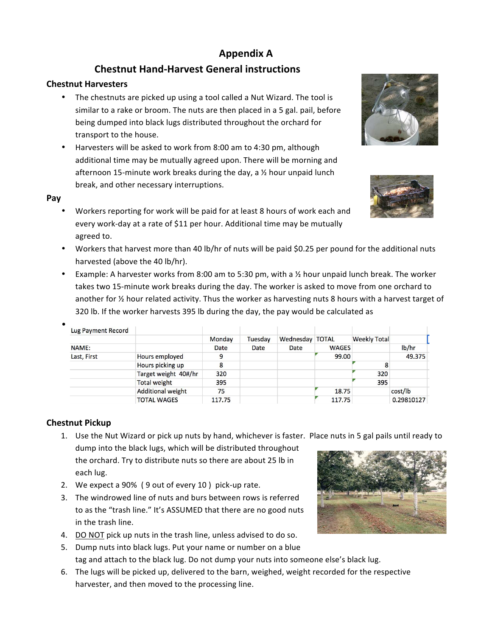# **Appendix A**

# **Chestnut Hand-Harvest General instructions**

#### **Chestnut Harvesters**

- The chestnuts are picked up using a tool called a Nut Wizard. The tool is similar to a rake or broom. The nuts are then placed in a 5 gal. pail, before being dumped into black lugs distributed throughout the orchard for transport to the house.
- Harvesters will be asked to work from 8:00 am to 4:30 pm, although additional time may be mutually agreed upon. There will be morning and afternoon 15-minute work breaks during the day, a  $\frac{1}{2}$  hour unpaid lunch break, and other necessary interruptions.



•

- Workers reporting for work will be paid for at least 8 hours of work each and every work-day at a rate of \$11 per hour. Additional time may be mutually agreed to.
- Workers that harvest more than 40 lb/hr of nuts will be paid \$0.25 per pound for the additional nuts harvested (above the 40 lb/hr).
- Example: A harvester works from 8:00 am to 5:30 pm, with a  $\frac{1}{2}$  hour unpaid lunch break. The worker takes two 15-minute work breaks during the day. The worker is asked to move from one orchard to another for  $\frac{1}{2}$  hour related activity. Thus the worker as harvesting nuts 8 hours with a harvest target of 320 lb. If the worker harvests 395 lb during the day, the pay would be calculated as

| Lug Payment Record |                          |             |         |                 |              |                     |            |
|--------------------|--------------------------|-------------|---------|-----------------|--------------|---------------------|------------|
|                    |                          | Monday      | Tuesday | Wednesday TOTAL |              | <b>Weekly Total</b> |            |
| NAME:              |                          | <b>Date</b> | Date    | Date            | <b>WAGES</b> |                     | lb/hr      |
| Last, First        | Hours employed           | 9           |         |                 | 99.00        |                     | 49.375     |
|                    | Hours picking up         | 8           |         |                 |              | 8                   |            |
|                    | Target weight 40#/hr     | 320         |         |                 |              | 320                 |            |
|                    | <b>Total weight</b>      | 395         |         |                 |              | 395                 |            |
|                    | <b>Additional weight</b> | 75          |         |                 | 18.75        |                     | cost/lb    |
|                    | <b>TOTAL WAGES</b>       | 117.75      |         |                 | 117.75       |                     | 0.29810127 |

#### **Chestnut Pickup**

- 1. Use the Nut Wizard or pick up nuts by hand, whichever is faster. Place nuts in 5 gal pails until ready to dump into the black lugs, which will be distributed throughout the orchard. Try to distribute nuts so there are about 25 lb in each lug.
- 2. We expect a 90% (9 out of every 10) pick-up rate.
- 3. The windrowed line of nuts and burs between rows is referred to as the "trash line." It's ASSUMED that there are no good nuts in the trash line.
- 4. DO NOT pick up nuts in the trash line, unless advised to do so.
- 5. Dump nuts into black lugs. Put your name or number on a blue tag and attach to the black lug. Do not dump your nuts into someone else's black lug.
- 6. The lugs will be picked up, delivered to the barn, weighed, weight recorded for the respective harvester, and then moved to the processing line.





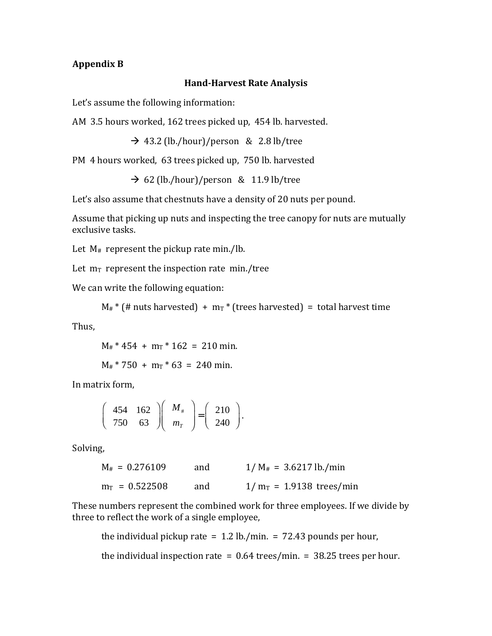#### **Appendix B**

#### **Hand-Harvest Rate Analysis**

Let's assume the following information:

AM 3.5 hours worked, 162 trees picked up, 454 lb. harvested.

 $\rightarrow$  43.2 (lb./hour)/person & 2.8 lb/tree

PM 4 hours worked, 63 trees picked up, 750 lb. harvested

 $\rightarrow$  62 (lb./hour)/person & 11.9 lb/tree

Let's also assume that chestnuts have a density of 20 nuts per pound.

Assume that picking up nuts and inspecting the tree canopy for nuts are mutually exclusive tasks.

Let  $M_{\#}$  represent the pickup rate min./lb.

Let  $m_T$  represent the inspection rate  $min./tree$ 

We can write the following equation:

```
M_{\#}<sup>*</sup> (# nuts harvested) + m_T<sup>*</sup> (trees harvested) = total harvest time
```
Thus,

 $M_{\text{\#}}$  \* 454 +  $m_{\text{T}}$  \* 162 = 210 min.

 $M_{\text{\#}}$  \* 750 + m<sub>T</sub> \* 63 = 240 min.

In matrix form,

$$
\left(\begin{array}{cc} 454 & 162 \\ 750 & 63 \end{array}\right)\left(\begin{array}{c} M_{\#} \\ m_{T} \end{array}\right) = \left(\begin{array}{c} 210 \\ 240 \end{array}\right).
$$

Solving,

| $M_{\#} = 0.276109$ | and | $1/M_{\#}$ = 3.6217 lb./min |
|---------------------|-----|-----------------------------|
| $m_T = 0.522508$    | and | $1/m_T = 1.9138$ trees/min  |

These numbers represent the combined work for three employees. If we divide by three to reflect the work of a single employee,

the individual pickup rate  $= 1.2$  lb./min.  $= 72.43$  pounds per hour,

the individual inspection rate  $= 0.64$  trees/min.  $= 38.25$  trees per hour.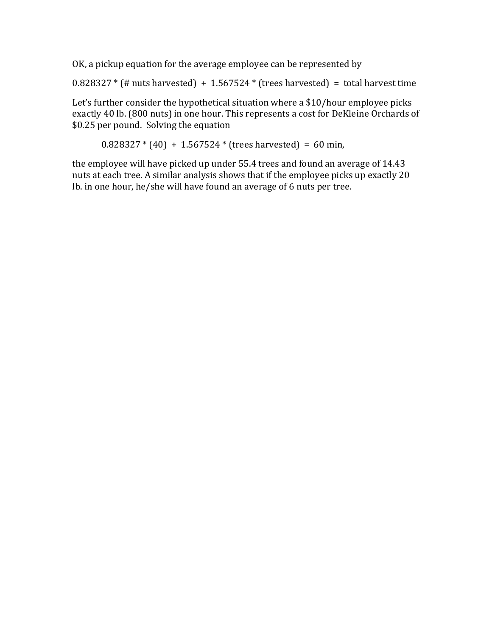OK, a pickup equation for the average employee can be represented by

 $0.828327 *$  (# nuts harvested) + 1.567524  $*$  (trees harvested) = total harvest time

Let's further consider the hypothetical situation where a  $$10/h$ our employee picks exactly 40 lb. (800 nuts) in one hour. This represents a cost for DeKleine Orchards of \$0.25 per pound. Solving the equation

 $0.828327 * (40) + 1.567524 * (trees harvested) = 60 min,$ 

the employee will have picked up under 55.4 trees and found an average of 14.43 nuts at each tree. A similar analysis shows that if the employee picks up exactly 20 lb. in one hour, he/she will have found an average of 6 nuts per tree.